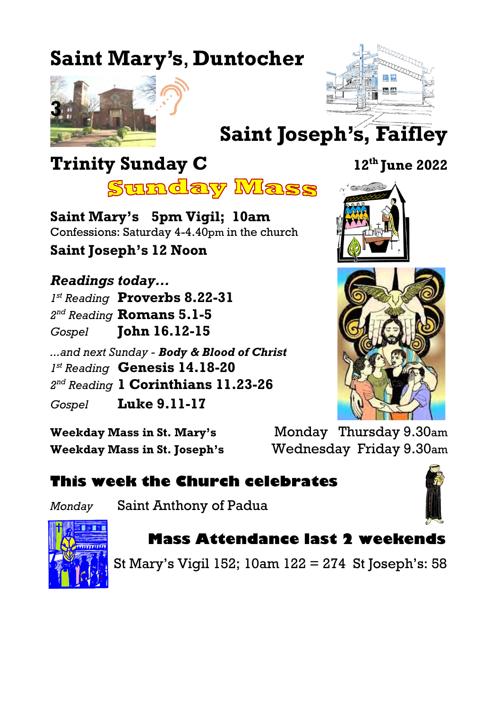# **Saint Mary's**, **Duntocher**





# **Saint Joseph's, Faifley**

# **Trinity Sunday C 12th June 2022**



**Saint Mary's 5pm Vigil; 10am** Confessions: Saturday 4-4.40pm in the church

**Saint Joseph's 12 Noon**

*Readings today... 1 st Reading* **Proverbs 8.22-31** *2 nd Reading* **Romans 5.1-5** *Gospel* **John 16.12-15** *...and next Sunday - Body & Blood of Christ 1 st Reading* **Genesis 14.18-20** *2 nd Reading* **1 Corinthians 11.23-26** *Gospel* **Luke 9.11-17**

**Weekday Mass in St. Mary's** Monday Thursday 9.30am **Weekday Mass in St. Joseph's** Wednesday Friday 9.30am

## **This week the Church celebrates**

*Monday* Saint Anthony of Padua





# **Mass Attendance last 2 weekends**

St Mary's Vigil 152; 10am 122 = 274 St Joseph's: 58



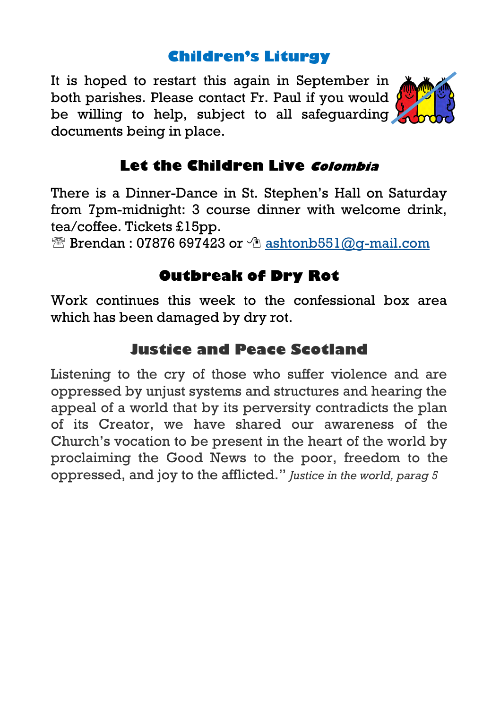#### **Children's Liturgy**

It is hoped to restart this again in September in both parishes. Please contact Fr. Paul if you would  $\sqrt{\frac{1}{2}}$ be willing to help, subject to all safequarding documents being in place.



### **Let the Children Live Colombia**

There is a Dinner-Dance in St. Stephen's Hall on Saturday from 7pm-midnight: 3 course dinner with welcome drink, tea/coffee. Tickets £15pp.

 $\mathbb{\widehat{B}}$  Brendan : 07876 697423 or  $\hat{\mathbb{C}}$  [ashtonb551@g-mail.com](mailto:ashtonb551@g-mail.com)

## **Outbreak of Dry Rot**

Work continues this week to the confessional box area which has been damaged by dry rot.

## **Justice and Peace Scotland**

Listening to the cry of those who suffer violence and are oppressed by unjust systems and structures and hearing the appeal of a world that by its perversity contradicts the plan of its Creator, we have shared our awareness of the Church's vocation to be present in the heart of the world by proclaiming the Good News to the poor, freedom to the oppressed, and joy to the afflicted." *Justice in the world, parag 5*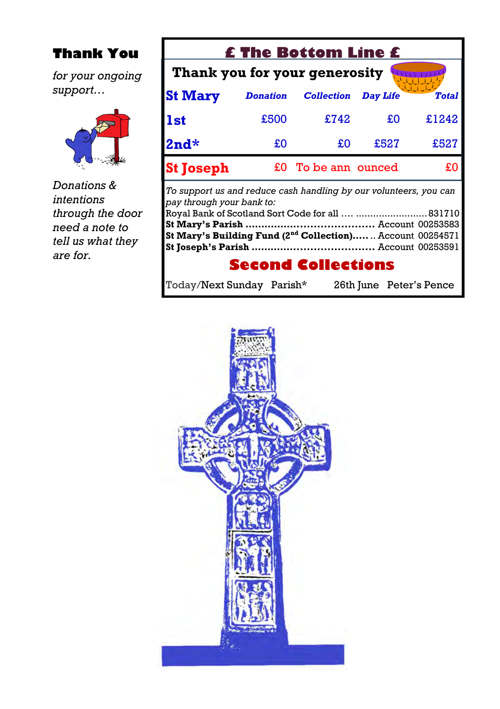#### **Thank You**

*for your ongoing support…*



*Donations & intentions through the door need a note to tell us what they are for.*

| <b>£ The Bottom Line £</b>                                                                                                                                              |                 |                     |                 |                         |
|-------------------------------------------------------------------------------------------------------------------------------------------------------------------------|-----------------|---------------------|-----------------|-------------------------|
| Thank you for your generosity                                                                                                                                           |                 |                     |                 |                         |
| <b>St Mary</b>                                                                                                                                                          | <b>Donation</b> | <b>Collection</b>   | <b>Day Life</b> | <b>Total</b>            |
| <b>1st</b>                                                                                                                                                              | £500            | £742                | £O              | £1242                   |
| $2nd*$                                                                                                                                                                  | £O              | £O                  | £527            | £527                    |
| <b>St Joseph</b>                                                                                                                                                        |                 | £0 To be ann ounced |                 | £0                      |
| To support us and reduce cash handling by our volunteers, you can<br>pay through your bank to:<br>St Mary's Building Fund (2 <sup>nd</sup> Collection) Account 00254571 |                 |                     |                 |                         |
| <b>Second Collections</b>                                                                                                                                               |                 |                     |                 |                         |
| Today/Next Sunday Parish*                                                                                                                                               |                 |                     |                 | 26th June Peter's Pence |